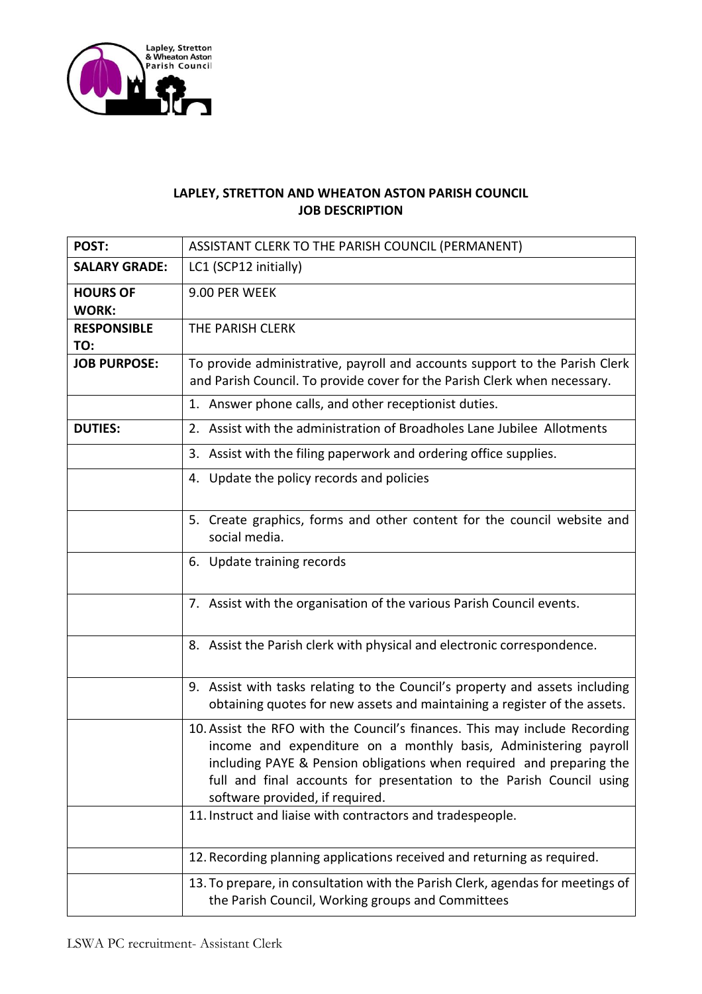

## **LAPLEY, STRETTON AND WHEATON ASTON PARISH COUNCIL JOB DESCRIPTION**

| POST:                           | ASSISTANT CLERK TO THE PARISH COUNCIL (PERMANENT)                                                                                                                                                                                                                                                                                 |  |  |
|---------------------------------|-----------------------------------------------------------------------------------------------------------------------------------------------------------------------------------------------------------------------------------------------------------------------------------------------------------------------------------|--|--|
| <b>SALARY GRADE:</b>            | LC1 (SCP12 initially)                                                                                                                                                                                                                                                                                                             |  |  |
| <b>HOURS OF</b><br><b>WORK:</b> | 9.00 PER WEEK                                                                                                                                                                                                                                                                                                                     |  |  |
| <b>RESPONSIBLE</b><br>TO:       | THE PARISH CLERK                                                                                                                                                                                                                                                                                                                  |  |  |
| <b>JOB PURPOSE:</b>             | To provide administrative, payroll and accounts support to the Parish Clerk<br>and Parish Council. To provide cover for the Parish Clerk when necessary.                                                                                                                                                                          |  |  |
|                                 | 1. Answer phone calls, and other receptionist duties.                                                                                                                                                                                                                                                                             |  |  |
| <b>DUTIES:</b>                  | 2. Assist with the administration of Broadholes Lane Jubilee Allotments                                                                                                                                                                                                                                                           |  |  |
|                                 | 3. Assist with the filing paperwork and ordering office supplies.                                                                                                                                                                                                                                                                 |  |  |
|                                 | 4. Update the policy records and policies                                                                                                                                                                                                                                                                                         |  |  |
|                                 | 5. Create graphics, forms and other content for the council website and<br>social media.                                                                                                                                                                                                                                          |  |  |
|                                 | 6. Update training records                                                                                                                                                                                                                                                                                                        |  |  |
|                                 | 7. Assist with the organisation of the various Parish Council events.                                                                                                                                                                                                                                                             |  |  |
|                                 | 8. Assist the Parish clerk with physical and electronic correspondence.                                                                                                                                                                                                                                                           |  |  |
|                                 | 9. Assist with tasks relating to the Council's property and assets including<br>obtaining quotes for new assets and maintaining a register of the assets.                                                                                                                                                                         |  |  |
|                                 | 10. Assist the RFO with the Council's finances. This may include Recording<br>income and expenditure on a monthly basis, Administering payroll<br>including PAYE & Pension obligations when required and preparing the<br>full and final accounts for presentation to the Parish Council using<br>software provided, if required. |  |  |
|                                 | 11. Instruct and liaise with contractors and tradespeople.                                                                                                                                                                                                                                                                        |  |  |
|                                 | 12. Recording planning applications received and returning as required.                                                                                                                                                                                                                                                           |  |  |
|                                 | 13. To prepare, in consultation with the Parish Clerk, agendas for meetings of<br>the Parish Council, Working groups and Committees                                                                                                                                                                                               |  |  |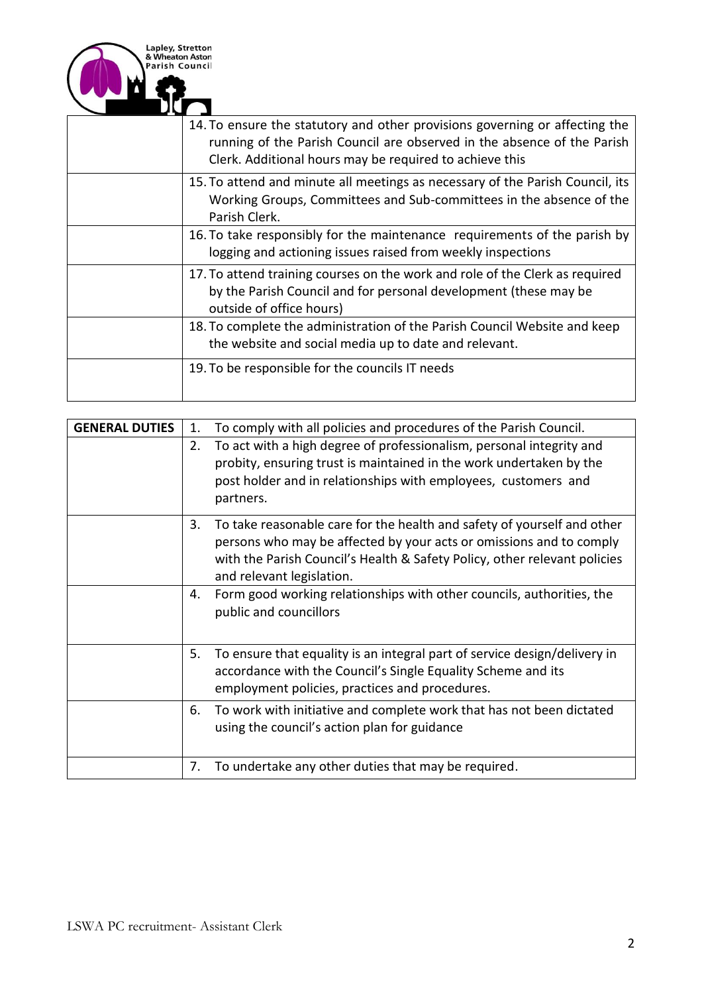

| 14. To ensure the statutory and other provisions governing or affecting the<br>running of the Parish Council are observed in the absence of the Parish<br>Clerk. Additional hours may be required to achieve this |
|-------------------------------------------------------------------------------------------------------------------------------------------------------------------------------------------------------------------|
| 15. To attend and minute all meetings as necessary of the Parish Council, its<br>Working Groups, Committees and Sub-committees in the absence of the<br>Parish Clerk.                                             |
| 16. To take responsibly for the maintenance requirements of the parish by<br>logging and actioning issues raised from weekly inspections                                                                          |
| 17. To attend training courses on the work and role of the Clerk as required<br>by the Parish Council and for personal development (these may be<br>outside of office hours)                                      |
| 18. To complete the administration of the Parish Council Website and keep<br>the website and social media up to date and relevant.                                                                                |
| 19. To be responsible for the councils IT needs                                                                                                                                                                   |

| <b>GENERAL DUTIES</b> | 1. | To comply with all policies and procedures of the Parish Council.                                                                                                                                                                                        |
|-----------------------|----|----------------------------------------------------------------------------------------------------------------------------------------------------------------------------------------------------------------------------------------------------------|
|                       | 2. | To act with a high degree of professionalism, personal integrity and<br>probity, ensuring trust is maintained in the work undertaken by the<br>post holder and in relationships with employees, customers and<br>partners.                               |
|                       | 3. | To take reasonable care for the health and safety of yourself and other<br>persons who may be affected by your acts or omissions and to comply<br>with the Parish Council's Health & Safety Policy, other relevant policies<br>and relevant legislation. |
|                       | 4. | Form good working relationships with other councils, authorities, the<br>public and councillors                                                                                                                                                          |
|                       | 5. | To ensure that equality is an integral part of service design/delivery in<br>accordance with the Council's Single Equality Scheme and its<br>employment policies, practices and procedures.                                                              |
|                       | 6. | To work with initiative and complete work that has not been dictated<br>using the council's action plan for guidance                                                                                                                                     |
|                       | 7. | To undertake any other duties that may be required.                                                                                                                                                                                                      |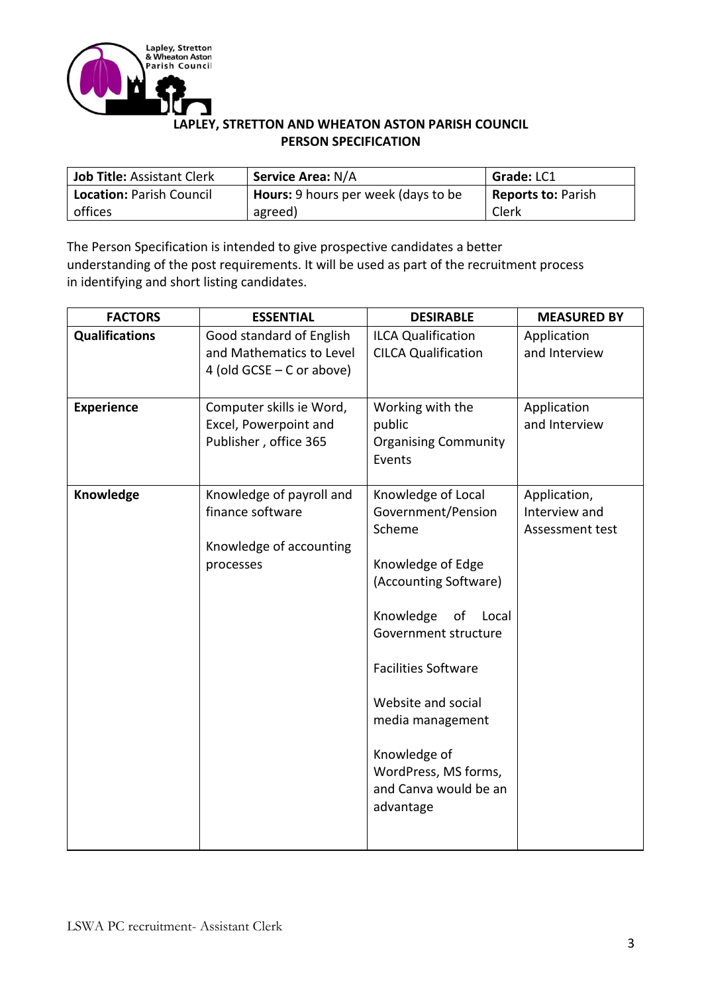

## **LAPLEY, STRETTON AND WHEATON ASTON PARISH COUNCIL PERSON SPECIFICATION**

| Job Title: Assistant Clerk      | <b>Service Area: N/A</b>            | <b>Grade: LC1</b>         |
|---------------------------------|-------------------------------------|---------------------------|
| <b>Location: Parish Council</b> | Hours: 9 hours per week (days to be | <b>Reports to: Parish</b> |
| offices                         | agreed)                             | Clerk                     |

The Person Specification is intended to give prospective candidates a better understanding of the post requirements. It will be used as part of the recruitment process in identifying and short listing candidates.

| <b>FACTORS</b>        | <b>ESSENTIAL</b>                                                                     | <b>DESIRABLE</b>                                                                                                                                                                                                                                                                                           | <b>MEASURED BY</b>                               |
|-----------------------|--------------------------------------------------------------------------------------|------------------------------------------------------------------------------------------------------------------------------------------------------------------------------------------------------------------------------------------------------------------------------------------------------------|--------------------------------------------------|
| <b>Qualifications</b> | Good standard of English<br>and Mathematics to Level<br>4 (old $GCSE - C$ or above)  | <b>ILCA Qualification</b><br><b>CILCA Qualification</b>                                                                                                                                                                                                                                                    | Application<br>and Interview                     |
| <b>Experience</b>     | Computer skills ie Word,<br>Excel, Powerpoint and<br>Publisher, office 365           | Working with the<br>public<br><b>Organising Community</b><br>Events                                                                                                                                                                                                                                        | Application<br>and Interview                     |
| Knowledge             | Knowledge of payroll and<br>finance software<br>Knowledge of accounting<br>processes | Knowledge of Local<br>Government/Pension<br>Scheme<br>Knowledge of Edge<br>(Accounting Software)<br>Knowledge<br>of<br>Local<br>Government structure<br><b>Facilities Software</b><br>Website and social<br>media management<br>Knowledge of<br>WordPress, MS forms,<br>and Canva would be an<br>advantage | Application,<br>Interview and<br>Assessment test |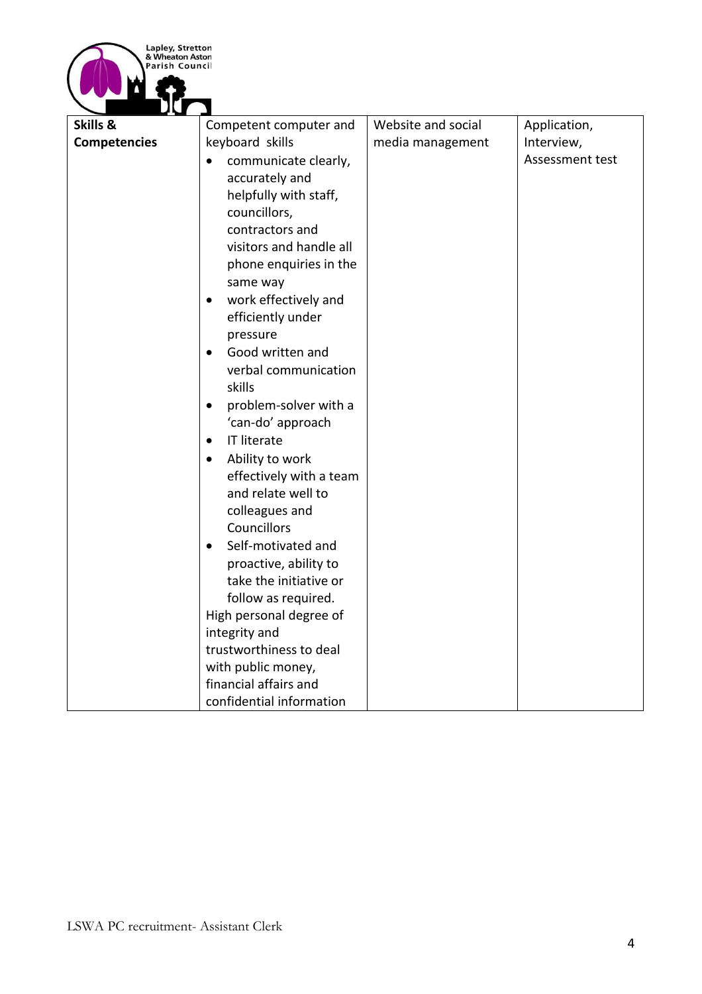

| <b>Competencies</b><br>keyboard skills<br>Interview,<br>media management<br>Assessment test<br>communicate clearly,<br>$\bullet$<br>accurately and<br>helpfully with staff,<br>councillors,<br>contractors and<br>visitors and handle all<br>phone enquiries in the<br>same way<br>work effectively and<br>$\bullet$<br>efficiently under<br>pressure<br>Good written and<br>$\bullet$<br>verbal communication            |
|---------------------------------------------------------------------------------------------------------------------------------------------------------------------------------------------------------------------------------------------------------------------------------------------------------------------------------------------------------------------------------------------------------------------------|
|                                                                                                                                                                                                                                                                                                                                                                                                                           |
| skills<br>problem-solver with a<br>$\bullet$<br>'can-do' approach<br>IT literate<br>$\bullet$<br>Ability to work<br>$\bullet$<br>effectively with a team<br>and relate well to<br>colleagues and<br>Councillors<br>Self-motivated and<br>$\bullet$<br>proactive, ability to<br>take the initiative or<br>follow as required.<br>High personal degree of<br>integrity and<br>trustworthiness to deal<br>with public money, |